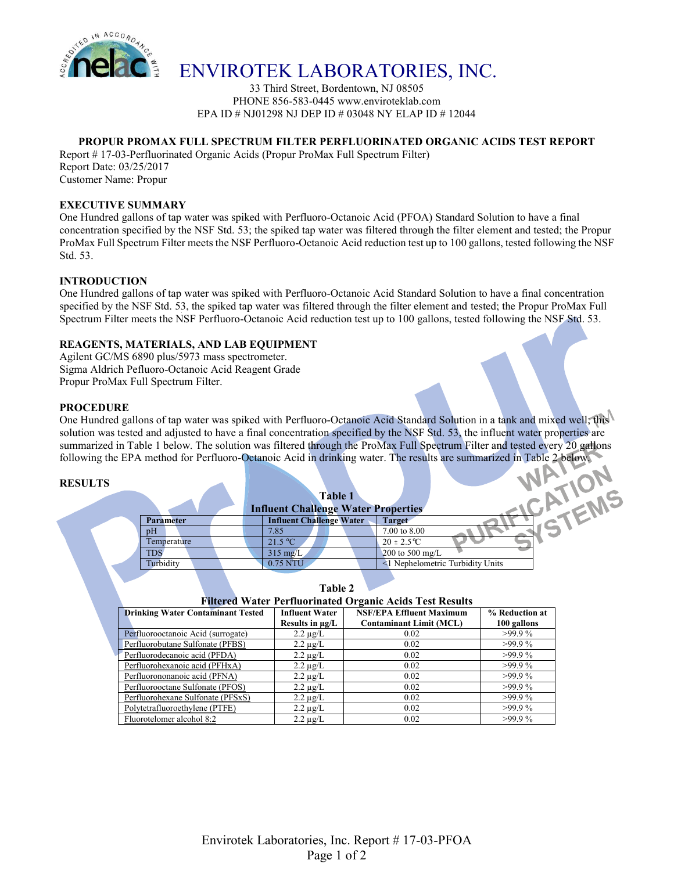

# ENVIROTEK LABORATORIES, INC.

33 Third Street, Bordentown, NJ 08505 PHONE 856-583-0445 www.enviroteklab.com EPA ID # NJ01298 NJ DEP ID # 03048 NY ELAP ID # 12044

# **PROPUR PROMAX FULL SPECTRUM FILTER PERFLUORINATED ORGANIC ACIDS TEST REPORT**

Report # 17-03-Perfluorinated Organic Acids (Propur ProMax Full Spectrum Filter) Report Date: 03/25/2017 Customer Name: Propur

#### **EXECUTIVE SUMMARY**

One Hundred gallons of tap water was spiked with Perfluoro-Octanoic Acid (PFOA) Standard Solution to have a final concentration specified by the NSF Std. 53; the spiked tap water was filtered through the filter element and tested; the Propur ProMax Full Spectrum Filter meets the NSF Perfluoro-Octanoic Acid reduction test up to 100 gallons, tested following the NSF Std. 53.

## **INTRODUCTION**

One Hundred gallons of tap water was spiked with Perfluoro-Octanoic Acid Standard Solution to have a final concentration specified by the NSF Std. 53, the spiked tap water was filtered through the filter element and tested; the Propur ProMax Full Spectrum Filter meets the NSF Perfluoro-Octanoic Acid reduction test up to 100 gallons, tested following the NSF Std. 53.

## **REAGENTS, MATERIALS, AND LAB EQUIPMENT**

Agilent GC/MS 6890 plus/5973 mass spectrometer. Sigma Aldrich Pefluoro-Octanoic Acid Reagent Grade Propur ProMax Full Spectrum Filter.

## **PROCEDURE**

One Hundred gallons of tap water was spiked with Perfluoro-Octanoic Acid Standard Solution in a tank and mixed well; this solution was tested and adjusted to have a final concentration specified by the NSF Std. 53, the influent water properties are summarized in Table 1 below. The solution was filtered through the ProMax Full Spectrum Filter and tested every 20 gallons following the EPA method for Perfluoro-Octanoic Acid in drinking water. The results are summarized in Table 2 below.

#### **RESULTS**

٢

|  |                  | <b>Table 1</b><br><b>Influent Challenge Water Properties</b> |                                  |  |  |
|--|------------------|--------------------------------------------------------------|----------------------------------|--|--|
|  | <b>Parameter</b> | <b>Influent Challenge Water</b>                              | <b>Target</b>                    |  |  |
|  | pH               | 7.85                                                         | 7.00 to 8.00                     |  |  |
|  | Temperature      | 21.5 °C                                                      | $20 \pm 2.5^{\circ}C$            |  |  |
|  | <b>TDS</b>       | $315 \text{ mg/L}$                                           | 200 to 500 mg/L                  |  |  |
|  | Turbidity        | 0.75 NTU                                                     | <1 Nephelometric Turbidity Units |  |  |
|  |                  |                                                              |                                  |  |  |

**Table 2**

| <b>Drinking Water Contaminant Tested</b> | <b>Influent Water</b> | <b>NSF/EPA Effluent Maximum</b> | % Reduction at |  |  |
|------------------------------------------|-----------------------|---------------------------------|----------------|--|--|
|                                          | Results in $\mu$ g/L  | <b>Contaminant Limit (MCL)</b>  | 100 gallons    |  |  |
| Perfluorooctanoic Acid (surrogate)       | $2.2 \mu g/L$         | 0.02                            | $>99.9\%$      |  |  |
| Perfluorobutane Sulfonate (PFBS)         | $2.2 \mu g/L$         | 0.02                            | $>99.9\%$      |  |  |
| Perfluorodecanoic acid (PFDA)            | $2.2 \mu g/L$         | 0.02                            | $>99.9\%$      |  |  |
| Perfluorohexanoic acid (PFHxA)           | $2.2 \mu g/L$         | 0.02                            | $>99.9\%$      |  |  |
| Perfluorononanoic acid (PFNA)            | $2.2 \mu$ g/L         | 0.02                            | $>99.9\%$      |  |  |
| Perfluorooctane Sulfonate (PFOS)         | $2.2 \mu g/L$         | 0.02                            | $>99.9\%$      |  |  |
| Perfluorohexane Sulfonate (PFSxS)        | $2.2 \mu g/L$         | 0.02                            | $>99.9\%$      |  |  |
| Polytetrafluoroethylene (PTFE)           | $2.2 \mu$ g/L         | 0.02                            | $>99.9\%$      |  |  |
| Fluorotelomer alcohol 8:2                | $2.2 \mu g/L$         | 0.02                            | $>99.9\%$      |  |  |

# **Filtered Water Perfluorinated Organic Acids Test Results**